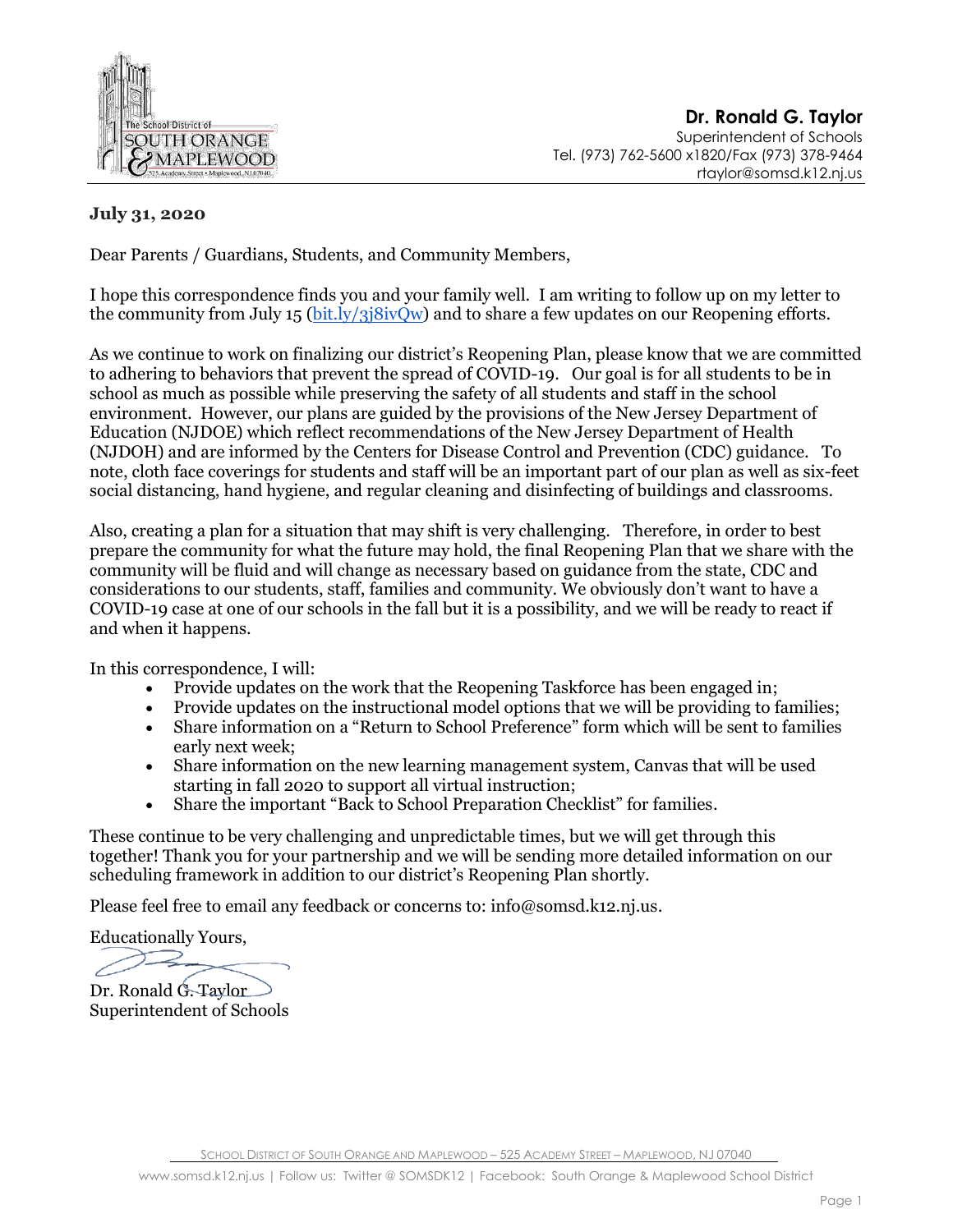

**Dr. Ronald G. Taylor** Superintendent of Schools Tel. (973) 762-5600 x1820/Fax (973) 378-9464 rtaylor@somsd.k12.nj.us

## **July 31, 2020**

Dear Parents / Guardians, Students, and Community Members,

I hope this correspondence finds you and your family well. I am writing to follow up on my letter to the community from July 15 [\(bit.ly/3j8ivQw\)](https://bit.ly/3j8ivQw) and to share a few updates on our Reopening efforts.

As we continue to work on finalizing our district's Reopening Plan, please know that we are committed to adhering to behaviors that prevent the spread of COVID-19. Our goal is for all students to be in school as much as possible while preserving the safety of all students and staff in the school environment. However, our plans are guided by the provisions of the New Jersey Department of Education (NJDOE) which reflect recommendations of the New Jersey Department of Health (NJDOH) and are informed by the Centers for Disease Control and Prevention (CDC) guidance. To note, cloth face coverings for students and staff will be an important part of our plan as well as six-feet social distancing, hand hygiene, and regular cleaning and disinfecting of buildings and classrooms.

Also, creating a plan for a situation that may shift is very challenging. Therefore, in order to best prepare the community for what the future may hold, the final Reopening Plan that we share with the community will be fluid and will change as necessary based on guidance from the state, CDC and considerations to our students, staff, families and community. We obviously don't want to have a COVID-19 case at one of our schools in the fall but it is a possibility, and we will be ready to react if and when it happens.

In this correspondence, I will:

- Provide updates on the work that the Reopening Taskforce has been engaged in;
- Provide updates on the instructional model options that we will be providing to families;
- Share information on a "Return to School Preference" form which will be sent to families early next week;
- Share information on the new learning management system, Canvas that will be used starting in fall 2020 to support all virtual instruction;
- Share the important "Back to School Preparation Checklist" for families.

These continue to be very challenging and unpredictable times, but we will get through this together! Thank you for your partnership and we will be sending more detailed information on our scheduling framework in addition to our district's Reopening Plan shortly.

Please feel free to email any feedback or concerns to: info@somsd.k12.nj.us.

Educationally Yours,

Dr. Ronald G. Taylor

Superintendent of Schools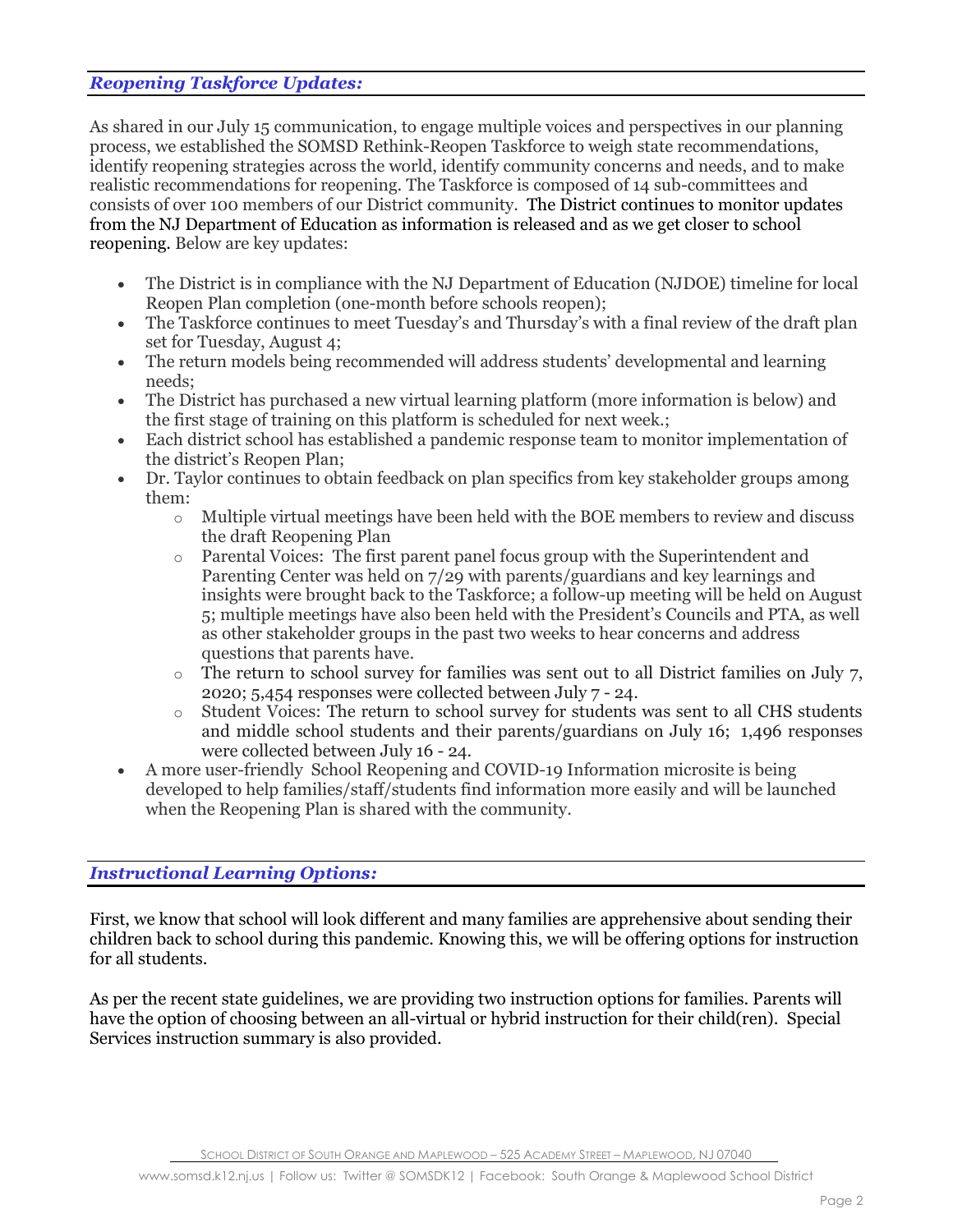#### *Reopening Taskforce Updates:*

As shared in our July 15 communication, to engage multiple voices and perspectives in our planning process, we established the SOMSD Rethink-Reopen Taskforce to weigh state recommendations, identify reopening strategies across the world, identify community concerns and needs, and to make realistic recommendations for reopening. The Taskforce is composed of 14 sub-committees and consists of over 100 members of our District community. The District continues to monitor updates from the NJ Department of Education as information is released and as we get closer to school reopening. Below are key updates:

- The District is in compliance with the NJ Department of Education (NJDOE) timeline for local Reopen Plan completion (one-month before schools reopen);
- The Taskforce continues to meet Tuesday's and Thursday's with a final review of the draft plan set for Tuesday, August 4;
- The return models being recommended will address students' developmental and learning needs;
- The District has purchased a new virtual learning platform (more information is below) and the first stage of training on this platform is scheduled for next week.;
- Each district school has established a pandemic response team to monitor implementation of the district's Reopen Plan;
- Dr. Taylor continues to obtain feedback on plan specifics from key stakeholder groups among them:
	- o Multiple virtual meetings have been held with the BOE members to review and discuss the draft Reopening Plan
	- o Parental Voices: The first parent panel focus group with the Superintendent and Parenting Center was held on 7/29 with parents/guardians and key learnings and insights were brought back to the Taskforce; a follow-up meeting will be held on August 5; multiple meetings have also been held with the President's Councils and PTA, as well as other stakeholder groups in the past two weeks to hear concerns and address questions that parents have.
	- o The return to school survey for families was sent out to all District families on July 7, 2020; 5,454 responses were collected between July 7 - 24.
	- o Student Voices: The return to school survey for students was sent to all CHS students and middle school students and their parents/guardians on July 16; 1,496 responses were collected between July 16 - 24.
- A more user-friendly School Reopening and COVID-19 Information microsite is being developed to help families/staff/students find information more easily and will be launched when the Reopening Plan is shared with the community.

### *Instructional Learning Options:*

First, we know that school will look different and many families are apprehensive about sending their children back to school during this pandemic. Knowing this, we will be offering options for instruction for all students.

As per the recent state guidelines, we are providing two instruction options for families. Parents will have the option of choosing between an all-virtual or hybrid instruction for their child(ren). Special Services instruction summary is also provided.

SCHOOL DISTRICT OF SOUTH ORANGE AND MAPLEWOOD – 525 ACADEMY STREET – MAPLEWOOD, NJ 07040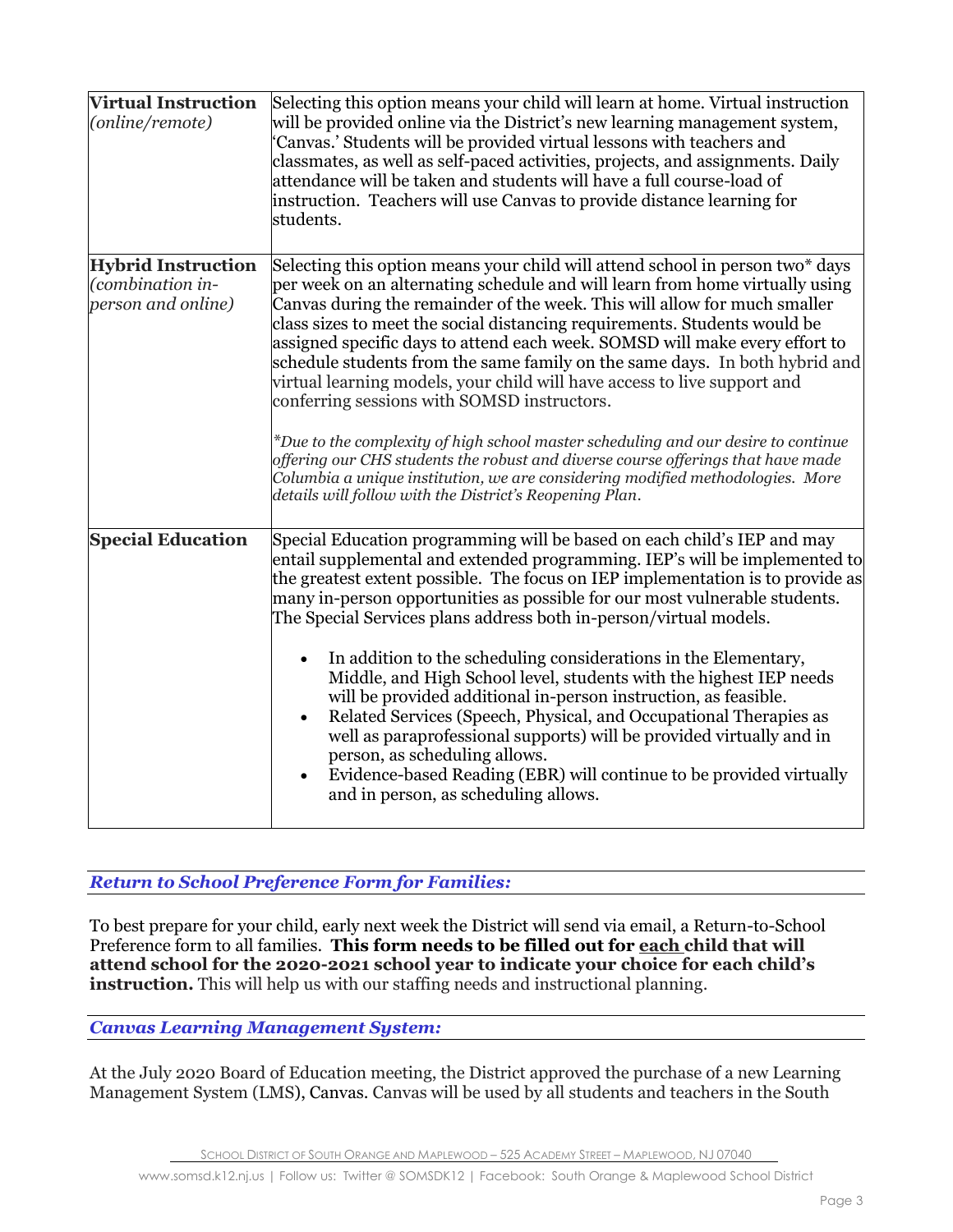| <b>Virtual Instruction</b><br>(online/remote)                       | Selecting this option means your child will learn at home. Virtual instruction<br>will be provided online via the District's new learning management system,<br>'Canvas.' Students will be provided virtual lessons with teachers and<br>classmates, as well as self-paced activities, projects, and assignments. Daily<br>attendance will be taken and students will have a full course-load of<br>instruction. Teachers will use Canvas to provide distance learning for<br>students.                                                                                                                                                                                                                                                                                                                                                                                                                                                                        |
|---------------------------------------------------------------------|----------------------------------------------------------------------------------------------------------------------------------------------------------------------------------------------------------------------------------------------------------------------------------------------------------------------------------------------------------------------------------------------------------------------------------------------------------------------------------------------------------------------------------------------------------------------------------------------------------------------------------------------------------------------------------------------------------------------------------------------------------------------------------------------------------------------------------------------------------------------------------------------------------------------------------------------------------------|
| <b>Hybrid Instruction</b><br>(combination in-<br>person and online) | Selecting this option means your child will attend school in person two* days<br>per week on an alternating schedule and will learn from home virtually using<br>Canvas during the remainder of the week. This will allow for much smaller<br>class sizes to meet the social distancing requirements. Students would be<br>assigned specific days to attend each week. SOMSD will make every effort to<br>schedule students from the same family on the same days. In both hybrid and<br>virtual learning models, your child will have access to live support and<br>conferring sessions with SOMSD instructors.<br>$*$ Due to the complexity of high school master scheduling and our desire to continue<br>offering our CHS students the robust and diverse course offerings that have made<br>Columbia a unique institution, we are considering modified methodologies. More                                                                                |
| <b>Special Education</b>                                            | details will follow with the District's Reopening Plan.<br>Special Education programming will be based on each child's IEP and may<br>entail supplemental and extended programming. IEP's will be implemented to<br>the greatest extent possible. The focus on IEP implementation is to provide as<br>many in-person opportunities as possible for our most vulnerable students.<br>The Special Services plans address both in-person/virtual models.<br>In addition to the scheduling considerations in the Elementary,<br>Middle, and High School level, students with the highest IEP needs<br>will be provided additional in-person instruction, as feasible.<br>Related Services (Speech, Physical, and Occupational Therapies as<br>well as paraprofessional supports) will be provided virtually and in<br>person, as scheduling allows.<br>Evidence-based Reading (EBR) will continue to be provided virtually<br>and in person, as scheduling allows. |

# *Return to School Preference Form for Families:*

To best prepare for your child, early next week the District will send via email, a Return-to-School Preference form to all families. **This form needs to be filled out for each child that will attend school for the 2020-2021 school year to indicate your choice for each child's instruction.** This will help us with our staffing needs and instructional planning.

## *Canvas Learning Management System:*

At the July 2020 Board of Education meeting, the District approved the purchase of a new Learning Management System (LMS), Canvas. Canvas will be used by all students and teachers in the South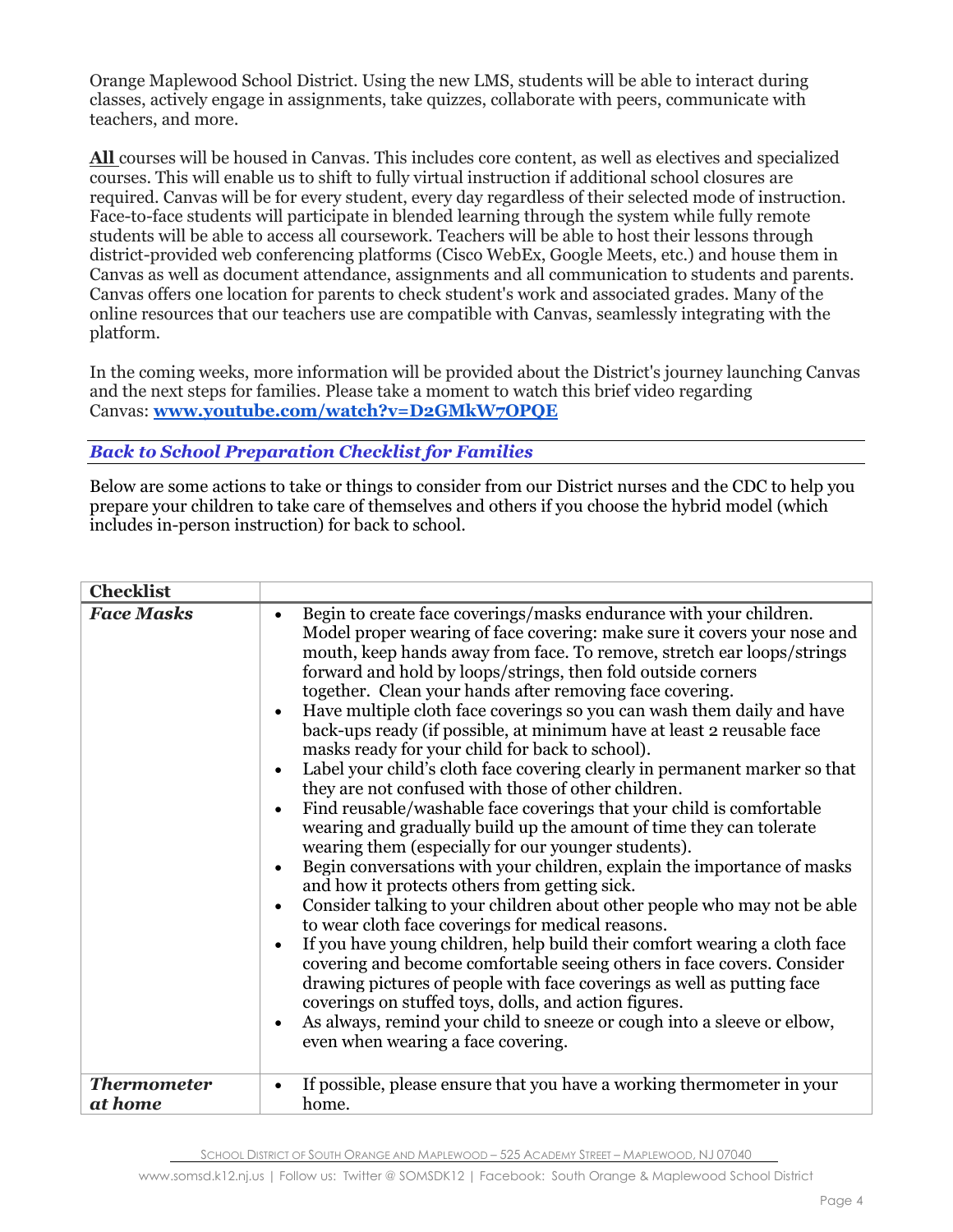Orange Maplewood School District. Using the new LMS, students will be able to interact during classes, actively engage in assignments, take quizzes, collaborate with peers, communicate with teachers, and more.

**All** courses will be housed in Canvas. This includes core content, as well as electives and specialized courses. This will enable us to shift to fully virtual instruction if additional school closures are required. Canvas will be for every student, every day regardless of their selected mode of instruction. Face-to-face students will participate in blended learning through the system while fully remote students will be able to access all coursework. Teachers will be able to host their lessons through district-provided web conferencing platforms (Cisco WebEx, Google Meets, etc.) and house them in Canvas as well as document attendance, assignments and all communication to students and parents. Canvas offers one location for parents to check student's work and associated grades. Many of the online resources that our teachers use are compatible with Canvas, seamlessly integrating with the platform.

In the coming weeks, more information will be provided about the District's journey launching Canvas and the next steps for families. Please take a moment to watch this brief video regarding Canvas: **[www.youtube.com/watch?v=D2GMkW7OPQE](http://www.youtube.com/watch?v=D2GMkW7OPQE)**

*Back to School Preparation Checklist for Families*

Below are some actions to take or things to consider from our District nurses and the CDC to help you prepare your children to take care of themselves and others if you choose the hybrid model (which includes in-person instruction) for back to school.

| <b>Checklist</b>              |                                                                                                                                                                                                                                                                                                                                                                                                                                                                                                                                                                                                                                                                                                                                                                                                                                                                                                                                                                                                                                                                                                                                                                                                                                                                                                                                                                                                                                                                                                                                                                                                                                                                                       |
|-------------------------------|---------------------------------------------------------------------------------------------------------------------------------------------------------------------------------------------------------------------------------------------------------------------------------------------------------------------------------------------------------------------------------------------------------------------------------------------------------------------------------------------------------------------------------------------------------------------------------------------------------------------------------------------------------------------------------------------------------------------------------------------------------------------------------------------------------------------------------------------------------------------------------------------------------------------------------------------------------------------------------------------------------------------------------------------------------------------------------------------------------------------------------------------------------------------------------------------------------------------------------------------------------------------------------------------------------------------------------------------------------------------------------------------------------------------------------------------------------------------------------------------------------------------------------------------------------------------------------------------------------------------------------------------------------------------------------------|
| <b>Face Masks</b>             | Begin to create face coverings/masks endurance with your children.<br>$\bullet$<br>Model proper wearing of face covering: make sure it covers your nose and<br>mouth, keep hands away from face. To remove, stretch ear loops/strings<br>forward and hold by loops/strings, then fold outside corners<br>together. Clean your hands after removing face covering.<br>Have multiple cloth face coverings so you can wash them daily and have<br>$\bullet$<br>back-ups ready (if possible, at minimum have at least 2 reusable face<br>masks ready for your child for back to school).<br>Label your child's cloth face covering clearly in permanent marker so that<br>$\bullet$<br>they are not confused with those of other children.<br>Find reusable/washable face coverings that your child is comfortable<br>$\bullet$<br>wearing and gradually build up the amount of time they can tolerate<br>wearing them (especially for our younger students).<br>Begin conversations with your children, explain the importance of masks<br>$\bullet$<br>and how it protects others from getting sick.<br>Consider talking to your children about other people who may not be able<br>$\bullet$<br>to wear cloth face coverings for medical reasons.<br>If you have young children, help build their comfort wearing a cloth face<br>$\bullet$<br>covering and become comfortable seeing others in face covers. Consider<br>drawing pictures of people with face coverings as well as putting face<br>coverings on stuffed toys, dolls, and action figures.<br>As always, remind your child to sneeze or cough into a sleeve or elbow,<br>$\bullet$<br>even when wearing a face covering. |
| <b>Thermometer</b><br>at home | If possible, please ensure that you have a working thermometer in your<br>$\bullet$<br>home.                                                                                                                                                                                                                                                                                                                                                                                                                                                                                                                                                                                                                                                                                                                                                                                                                                                                                                                                                                                                                                                                                                                                                                                                                                                                                                                                                                                                                                                                                                                                                                                          |

SCHOOL DISTRICT OF SOUTH ORANGE AND MAPLEWOOD – 525 ACADEMY STREET – MAPLEWOOD, NJ 07040